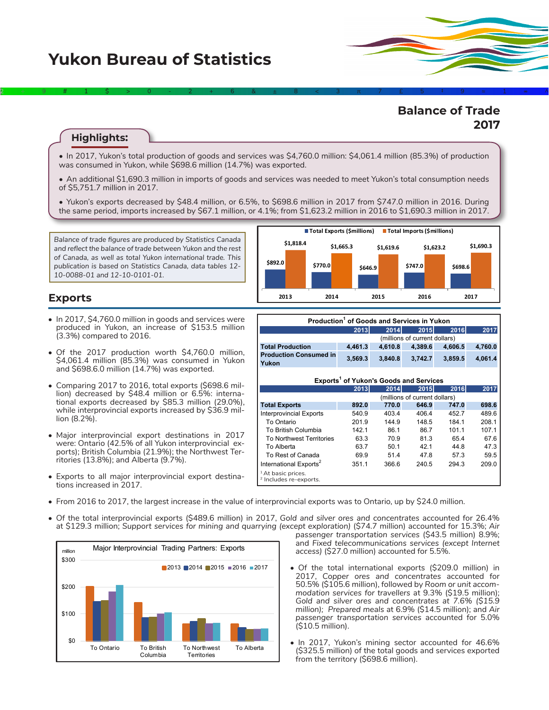# **Yukon Bureau of Statistics**

# **Balance of Trade 2017**

#### **Highlights:**

• In 2017, Yukon's total production of goods and services was \$4,760.0 million: \$4,061.4 million (85.3%) of production was consumed in Yukon, while \$698.6 million (14.7%) was exported.

2÷9#1\$>0-2+6&±8<3π7£5‡9≈1∞^

- An additional \$1,690.3 million in imports of goods and services was needed to meet Yukon's total consumption needs of \$5,751.7 million in 2017.
- Yukon's exports decreased by \$48.4 million, or 6.5%, to \$698.6 million in 2017 from \$747.0 million in 2016. During the same period, imports increased by \$67.1 million, or 4.1%; from \$1,623.2 million in 2016 to \$1,690.3 million in 2017.

*Balance of trade figures are produced by Statistics Canada and reflect the balance of trade between Yukon and the rest of Canada, as well as total Yukon international trade. This publication is based on Statistics Canada, data tables 12- 10-0088-01 and 12-10-0101-01.*



### **Exports**

- In 2017, \$4,760.0 million in goods and services were produced in Yukon, an increase of \$153.5 million (3.3%) compared to 2016.
- Of the 2017 production worth \$4,760.0 million, \$4,061.4 million (85.3%) was consumed in Yukon and \$698.6.0 million (14.7%) was exported.
- Comparing 2017 to 2016, total exports (\$698.6 million) decreased by \$48.4 million or 6.5%: international exports decreased by \$85.3 million (29.0%), while interprovincial exports increased by \$36.9 million (8.2%).
- Major interprovincial export destinations in 2017 were: Ontario (42.5% of all Yukon interprovincial exports); British Columbia (21.9%); the Northwest Territories (13.8%); and Alberta (9.7%).
- Exports to all major interprovincial export destinations increased in 2017.

| Production <sup>1</sup> of Goods and Services in Yukon |                               |         |         |             |         |  |  |  |
|--------------------------------------------------------|-------------------------------|---------|---------|-------------|---------|--|--|--|
|                                                        | 2013                          | 2014    | 2015    | <b>2016</b> | 2017    |  |  |  |
|                                                        | (millions of current dollars) |         |         |             |         |  |  |  |
| <b>Total Production</b>                                | 4.461.3                       | 4.610.8 | 4.389.6 | 4.606.5     | 4,760.0 |  |  |  |
| <b>Production Consumed in</b>                          | 3,569.3                       | 3,840.8 | 3,742.7 | 3,859.5     | 4,061.4 |  |  |  |
| Yukon                                                  |                               |         |         |             |         |  |  |  |
|                                                        |                               |         |         |             |         |  |  |  |
| Exports <sup>1</sup> of Yukon's Goods and Services     |                               |         |         |             |         |  |  |  |
|                                                        | 2013                          | 2014    | 2015    | 2016        | 2017    |  |  |  |
|                                                        | (millions of current dollars) |         |         |             |         |  |  |  |
| <b>Total Exports</b>                                   | 892.0                         | 770.0   | 646.9   | 747.0       | 698.6   |  |  |  |
| <b>Interprovincial Exports</b>                         | 540.9                         | 403.4   | 406.4   | 452.7       | 489.6   |  |  |  |
| To Ontario                                             | 201.9                         | 144.9   | 148.5   | 184.1       | 208.1   |  |  |  |
| To British Columbia                                    | 142.1                         | 86.1    | 86.7    | 101.1       | 107.1   |  |  |  |
| <b>To Northwest Territories</b>                        | 63.3                          | 70.9    | 81.3    | 65.4        | 67.6    |  |  |  |
| To Alberta                                             | 63.7                          | 50.1    | 42.1    | 44.8        | 47.3    |  |  |  |
| To Rest of Canada                                      | 69.9                          | 51.4    | 47.8    | 57.3        | 59.5    |  |  |  |
| International Exports <sup>2</sup>                     | 351.1                         | 366.6   | 240.5   | 294.3       | 209.0   |  |  |  |
| <sup>1</sup> At basic prices.                          |                               |         |         |             |         |  |  |  |
| <sup>2</sup> Includes re-exports.                      |                               |         |         |             |         |  |  |  |

- From 2016 to 2017, the largest increase in the value of interprovincial exports was to Ontario, up by \$24.0 million.
- Of the total interprovincial exports (\$489.6 million) in 2017, *Gold and silver ores and concentrates* accounted for 26.4% at \$129.3 million; *Support services for mining and quarrying (except exploration)* (\$74.7 million) accounted for 15.3%; *Air*



- *passenger transportation services* (\$43.5 million) 8.9%; and *Fixed telecommunications services (except Internet access)* (\$27.0 million) accounted for 5.5%.
- Of the total international exports (\$209.0 million) in 2017, *Copper ores and concentrates* accounted for 50.5% (\$105.6 million), followed by *Room or unit accommodation services for travellers* at 9.3% (\$19.5 million); *Gold and silver ores and concentrates at 7.6% (\$15.9 million); Prepared meals* at 6.9% (\$14.5 million); and *Air passenger transportation services* accounted for 5.0% (\$10.5 million).
- In 2017, Yukon's mining sector accounted for 46.6% (\$325.5 million) of the total goods and services exported from the territory (\$698.6 million).